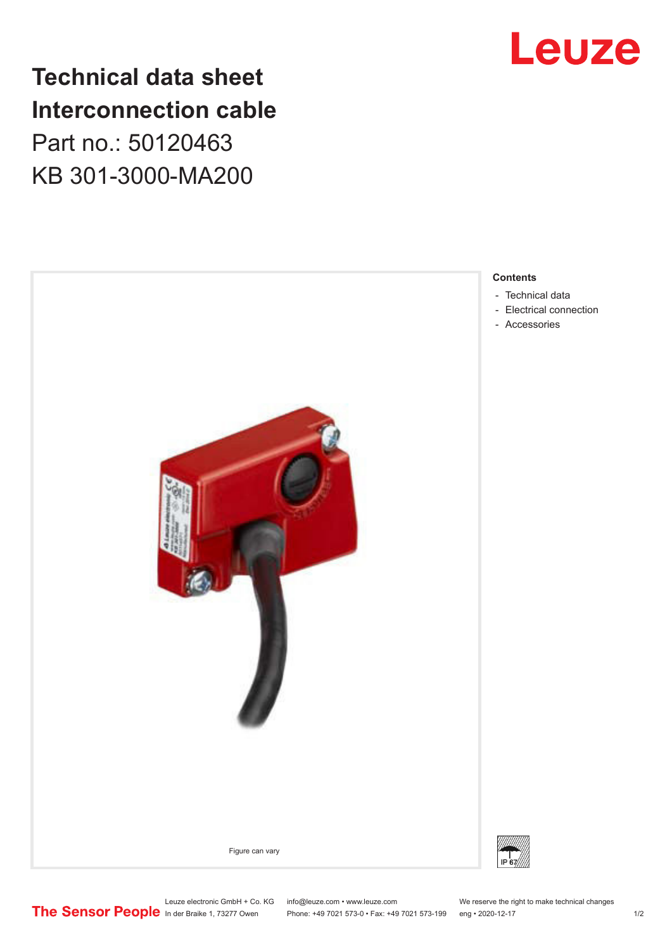## **Technical data sheet Interconnection cable** Part no.: 50120463 KB 301-3000-MA200





#### **Contents**

- [Technical data](#page-1-0)
- [Electrical connection](#page-1-0)
- [Accessories](#page-1-0)

In der Braike 1, 73277 Owen Phone: +49 7021 573-0 • Fax: +49 7021 573-199 eng • 2020-12-17 1 /2

Leuze electronic GmbH + Co. KG info@leuze.com • www.leuze.com We reserve the right to make technical changes